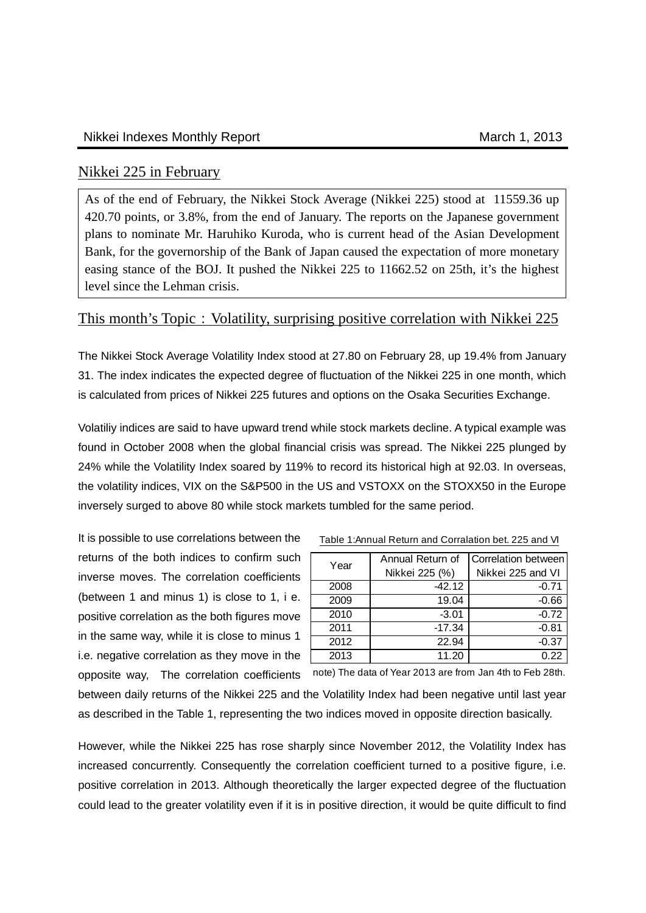## Nikkei 225 in February

As of the end of February, the Nikkei Stock Average (Nikkei 225) stood at 11559.36 up 420.70 points, or 3.8%, from the end of January. The reports on the Japanese government plans to nominate Mr. Haruhiko Kuroda, who is current head of the Asian Development Bank, for the governorship of the Bank of Japan caused the expectation of more monetary easing stance of the BOJ. It pushed the Nikkei 225 to 11662.52 on 25th, it's the highest level since the Lehman crisis.

## This month's Topic: Volatility, surprising positive correlation with Nikkei 225

The Nikkei Stock Average Volatility Index stood at 27.80 on February 28, up 19.4% from January 31. The index indicates the expected degree of fluctuation of the Nikkei 225 in one month, which is calculated from prices of Nikkei 225 futures and options on the Osaka Securities Exchange.

Volatiliy indices are said to have upward trend while stock markets decline. A typical example was found in October 2008 when the global financial crisis was spread. The Nikkei 225 plunged by 24% while the Volatility Index soared by 119% to record its historical high at 92.03. In overseas, the volatility indices, VIX on the S&P500 in the US and VSTOXX on the STOXX50 in the Europe inversely surged to above 80 while stock markets tumbled for the same period.

It is possible to use correlations between the returns of the both indices to confirm such inverse moves. The correlation coefficients (between 1 and minus 1) is close to 1, i e. positive correlation as the both figures move in the same way, while it is close to minus 1 i.e. negative correlation as they move in the

| Year | Annual Return of | Correlation between |  |  |
|------|------------------|---------------------|--|--|
|      | Nikkei 225 (%)   | Nikkei 225 and VI   |  |  |
| 2008 | $-42.12$         | $-0.71$             |  |  |
| 2009 | 19.04            | $-0.66$             |  |  |
| 2010 | $-3.01$          | $-0.72$             |  |  |
| 2011 | $-17.34$         | $-0.81$             |  |  |
| 2012 | 22.94            | $-0.37$             |  |  |
| 2013 | 11.20            | 0.22                |  |  |

Table 1:Annual Return and Corralation bet. 225 and VI

opposite way, The correlation coefficients note) The data of Year 2013 are from Jan 4th to Feb 28th.

between daily returns of the Nikkei 225 and the Volatility Index had been negative until last year as described in the Table 1, representing the two indices moved in opposite direction basically.

However, while the Nikkei 225 has rose sharply since November 2012, the Volatility Index has increased concurrently. Consequently the correlation coefficient turned to a positive figure, i.e. positive correlation in 2013. Although theoretically the larger expected degree of the fluctuation could lead to the greater volatility even if it is in positive direction, it would be quite difficult to find